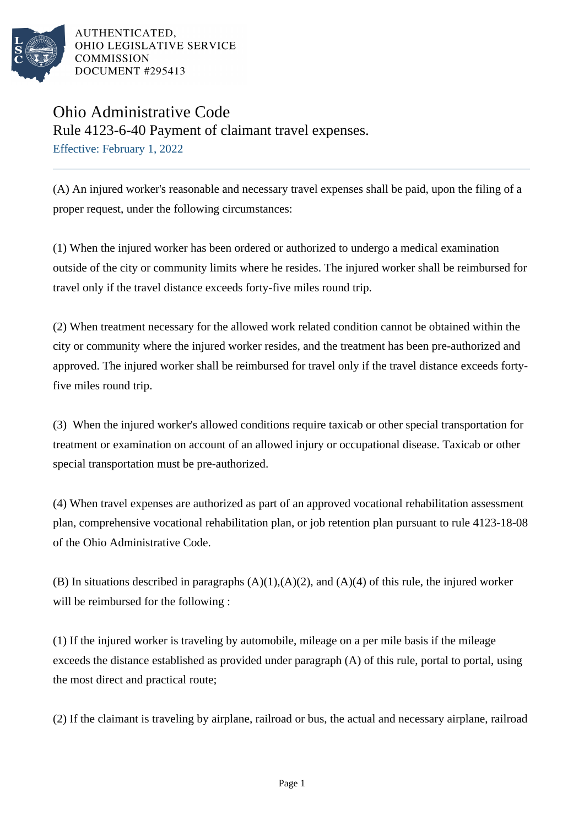

AUTHENTICATED. OHIO LEGISLATIVE SERVICE **COMMISSION** DOCUMENT #295413

## Ohio Administrative Code Rule 4123-6-40 Payment of claimant travel expenses. Effective: February 1, 2022

(A) An injured worker's reasonable and necessary travel expenses shall be paid, upon the filing of a proper request, under the following circumstances:

(1) When the injured worker has been ordered or authorized to undergo a medical examination outside of the city or community limits where he resides. The injured worker shall be reimbursed for travel only if the travel distance exceeds forty-five miles round trip.

(2) When treatment necessary for the allowed work related condition cannot be obtained within the city or community where the injured worker resides, and the treatment has been pre-authorized and approved. The injured worker shall be reimbursed for travel only if the travel distance exceeds fortyfive miles round trip.

(3) When the injured worker's allowed conditions require taxicab or other special transportation for treatment or examination on account of an allowed injury or occupational disease. Taxicab or other special transportation must be pre-authorized.

(4) When travel expenses are authorized as part of an approved vocational rehabilitation assessment plan, comprehensive vocational rehabilitation plan, or job retention plan pursuant to rule 4123-18-08 of the Ohio Administrative Code.

(B) In situations described in paragraphs  $(A)(1),(A)(2)$ , and  $(A)(4)$  of this rule, the injured worker will be reimbursed for the following :

(1) If the injured worker is traveling by automobile, mileage on a per mile basis if the mileage exceeds the distance established as provided under paragraph (A) of this rule, portal to portal, using the most direct and practical route;

(2) If the claimant is traveling by airplane, railroad or bus, the actual and necessary airplane, railroad